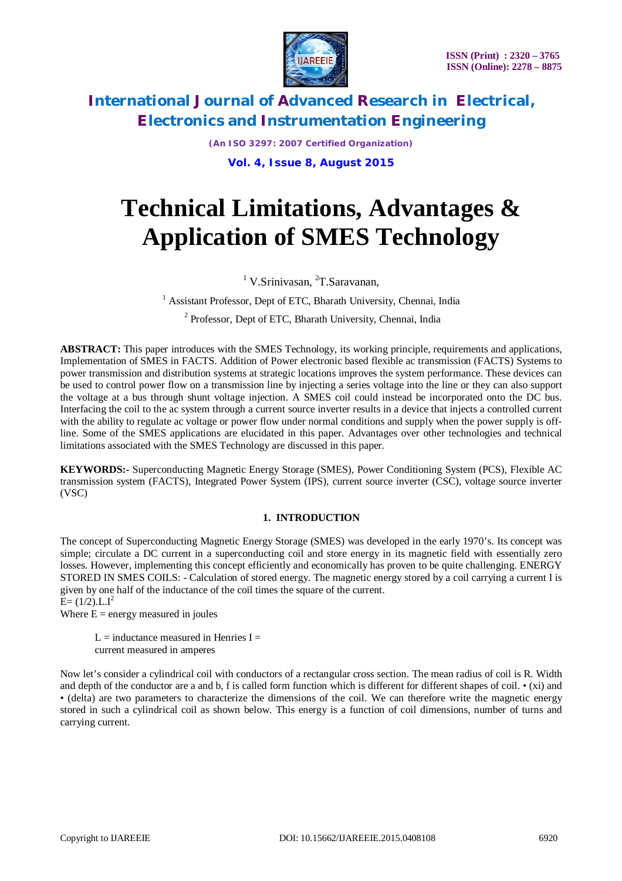

*(An ISO 3297: 2007 Certified Organization)* **Vol. 4, Issue 8, August 2015**

# **Technical Limitations, Advantages & Application of SMES Technology**

<sup>1</sup> V.Srinivasan, <sup>2</sup>T.Saravanan,

<sup>1</sup> Assistant Professor, Dept of ETC, Bharath University, Chennai, India

<sup>2</sup> Professor, Dept of ETC, Bharath University, Chennai, India

**ABSTRACT:** This paper introduces with the SMES Technology, its working principle, requirements and applications, Implementation of SMES in FACTS. Addition of Power electronic based flexible ac transmission (FACTS) Systems to power transmission and distribution systems at strategic locations improves the system performance. These devices can be used to control power flow on a transmission line by injecting a series voltage into the line or they can also support the voltage at a bus through shunt voltage injection. A SMES coil could instead be incorporated onto the DC bus. Interfacing the coil to the ac system through a current source inverter results in a device that injects a controlled current with the ability to regulate ac voltage or power flow under normal conditions and supply when the power supply is offline. Some of the SMES applications are elucidated in this paper. Advantages over other technologies and technical limitations associated with the SMES Technology are discussed in this paper.

**KEYWORDS:-** Superconducting Magnetic Energy Storage (SMES), Power Conditioning System (PCS), Flexible AC transmission system (FACTS), Integrated Power System (IPS), current source inverter (CSC), voltage source inverter (VSC)

## **1. INTRODUCTION**

The concept of Superconducting Magnetic Energy Storage (SMES) was developed in the early 1970's. Its concept was simple; circulate a DC current in a superconducting coil and store energy in its magnetic field with essentially zero losses. However, implementing this concept efficiently and economically has proven to be quite challenging. ENERGY STORED IN SMES COILS: - Calculation of stored energy. The magnetic energy stored by a coil carrying a current I is given by one half of the inductance of the coil times the square of the current.  $E = (1/2)$ .L.I<sup>2</sup>

Where  $E =$  energy measured in joules

L = inductance measured in Henries  $I =$ current measured in amperes

Now let's consider a cylindrical coil with conductors of a rectangular cross section. The mean radius of coil is R. Width and depth of the conductor are a and b, f is called form function which is different for different shapes of coil.  $\bullet$  (xi) and • (delta) are two parameters to characterize the dimensions of the coil. We can therefore write the magnetic energy stored in such a cylindrical coil as shown below. This energy is a function of coil dimensions, number of turns and carrying current.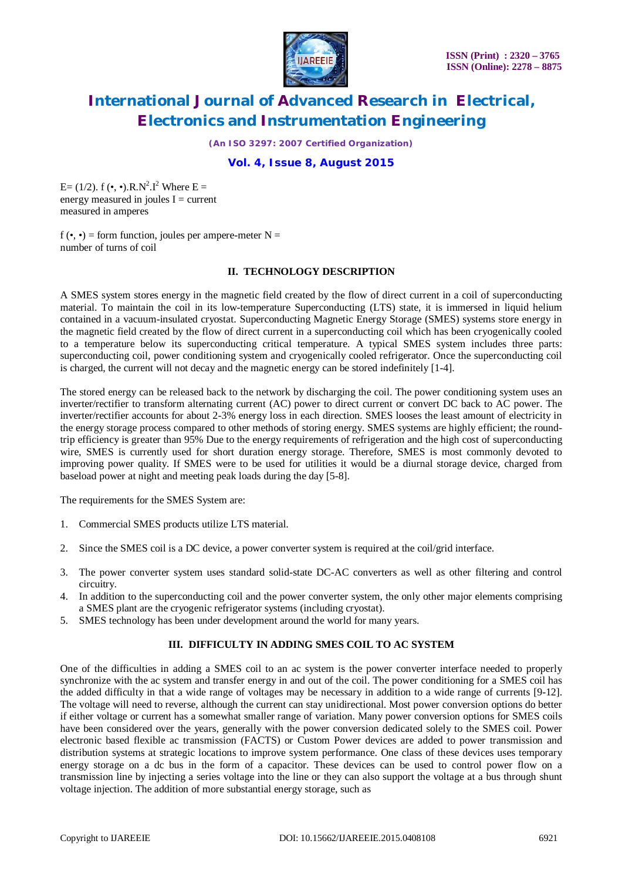

*(An ISO 3297: 2007 Certified Organization)*

### **Vol. 4, Issue 8, August 2015**

E= (1/2).  $f(\bullet, \bullet)$ .R.N<sup>2</sup>.I<sup>2</sup> Where E = energy measured in joules  $I =$  current measured in amperes

 $f(\bullet, \bullet)$  = form function, joules per ampere-meter N = number of turns of coil

### **II. TECHNOLOGY DESCRIPTION**

A SMES system stores energy in the magnetic field created by the flow of direct current in a coil of superconducting material. To maintain the coil in its low-temperature Superconducting (LTS) state, it is immersed in liquid helium contained in a vacuum-insulated cryostat. Superconducting Magnetic Energy Storage (SMES) systems store energy in the magnetic field created by the flow of direct current in a superconducting coil which has been cryogenically cooled to a temperature below its superconducting critical temperature. A typical SMES system includes three parts: superconducting coil, power conditioning system and cryogenically cooled refrigerator. Once the superconducting coil is charged, the current will not decay and the magnetic energy can be stored indefinitely [1-4].

The stored energy can be released back to the network by discharging the coil. The power conditioning system uses an inverter/rectifier to transform alternating current (AC) power to direct current or convert DC back to AC power. The inverter/rectifier accounts for about 2-3% energy loss in each direction. SMES looses the least amount of electricity in the energy storage process compared to other methods of storing energy. SMES systems are highly efficient; the roundtrip efficiency is greater than 95% Due to the energy requirements of refrigeration and the high cost of superconducting wire, SMES is currently used for short duration energy storage. Therefore, SMES is most commonly devoted to improving power quality. If SMES were to be used for utilities it would be a diurnal storage device, charged from baseload power at night and meeting peak loads during the day [5-8].

The requirements for the SMES System are:

- 1. Commercial SMES products utilize LTS material.
- 2. Since the SMES coil is a DC device, a power converter system is required at the coil/grid interface.
- 3. The power converter system uses standard solid-state DC-AC converters as well as other filtering and control circuitry.
- 4. In addition to the superconducting coil and the power converter system, the only other major elements comprising a SMES plant are the cryogenic refrigerator systems (including cryostat).
- 5. SMES technology has been under development around the world for many years.

#### **III. DIFFICULTY IN ADDING SMES COIL TO AC SYSTEM**

One of the difficulties in adding a SMES coil to an ac system is the power converter interface needed to properly synchronize with the ac system and transfer energy in and out of the coil. The power conditioning for a SMES coil has the added difficulty in that a wide range of voltages may be necessary in addition to a wide range of currents [9-12]. The voltage will need to reverse, although the current can stay unidirectional. Most power conversion options do better if either voltage or current has a somewhat smaller range of variation. Many power conversion options for SMES coils have been considered over the years, generally with the power conversion dedicated solely to the SMES coil. Power electronic based flexible ac transmission (FACTS) or Custom Power devices are added to power transmission and distribution systems at strategic locations to improve system performance. One class of these devices uses temporary energy storage on a dc bus in the form of a capacitor. These devices can be used to control power flow on a transmission line by injecting a series voltage into the line or they can also support the voltage at a bus through shunt voltage injection. The addition of more substantial energy storage, such as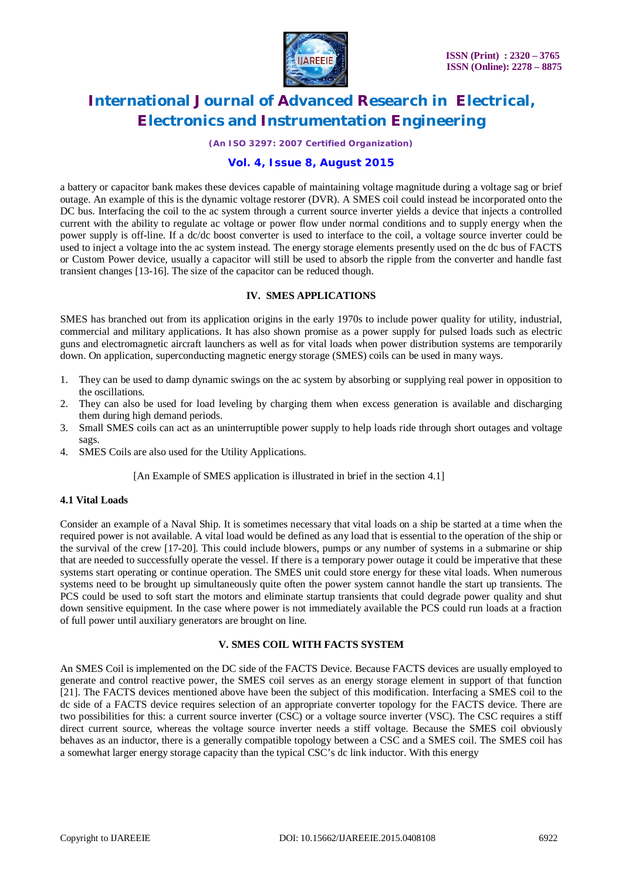

*(An ISO 3297: 2007 Certified Organization)*

### **Vol. 4, Issue 8, August 2015**

a battery or capacitor bank makes these devices capable of maintaining voltage magnitude during a voltage sag or brief outage. An example of this is the dynamic voltage restorer (DVR). A SMES coil could instead be incorporated onto the DC bus. Interfacing the coil to the ac system through a current source inverter yields a device that injects a controlled current with the ability to regulate ac voltage or power flow under normal conditions and to supply energy when the power supply is off-line. If a dc/dc boost converter is used to interface to the coil, a voltage source inverter could be used to inject a voltage into the ac system instead. The energy storage elements presently used on the dc bus of FACTS or Custom Power device, usually a capacitor will still be used to absorb the ripple from the converter and handle fast transient changes [13-16]. The size of the capacitor can be reduced though.

#### **IV. SMES APPLICATIONS**

SMES has branched out from its application origins in the early 1970s to include power quality for utility, industrial, commercial and military applications. It has also shown promise as a power supply for pulsed loads such as electric guns and electromagnetic aircraft launchers as well as for vital loads when power distribution systems are temporarily down. On application, superconducting magnetic energy storage (SMES) coils can be used in many ways.

- 1. They can be used to damp dynamic swings on the ac system by absorbing or supplying real power in opposition to the oscillations.
- 2. They can also be used for load leveling by charging them when excess generation is available and discharging them during high demand periods.
- 3. Small SMES coils can act as an uninterruptible power supply to help loads ride through short outages and voltage sags.
- 4. SMES Coils are also used for the Utility Applications.

[An Example of SMES application is illustrated in brief in the section 4.1]

#### **4.1 Vital Loads**

Consider an example of a Naval Ship. It is sometimes necessary that vital loads on a ship be started at a time when the required power is not available. A vital load would be defined as any load that is essential to the operation of the ship or the survival of the crew [17-20]. This could include blowers, pumps or any number of systems in a submarine or ship that are needed to successfully operate the vessel. If there is a temporary power outage it could be imperative that these systems start operating or continue operation. The SMES unit could store energy for these vital loads. When numerous systems need to be brought up simultaneously quite often the power system cannot handle the start up transients. The PCS could be used to soft start the motors and eliminate startup transients that could degrade power quality and shut down sensitive equipment. In the case where power is not immediately available the PCS could run loads at a fraction of full power until auxiliary generators are brought on line.

#### **V. SMES COIL WITH FACTS SYSTEM**

An SMES Coil is implemented on the DC side of the FACTS Device. Because FACTS devices are usually employed to generate and control reactive power, the SMES coil serves as an energy storage element in support of that function [21]. The FACTS devices mentioned above have been the subject of this modification. Interfacing a SMES coil to the dc side of a FACTS device requires selection of an appropriate converter topology for the FACTS device. There are two possibilities for this: a current source inverter (CSC) or a voltage source inverter (VSC). The CSC requires a stiff direct current source, whereas the voltage source inverter needs a stiff voltage. Because the SMES coil obviously behaves as an inductor, there is a generally compatible topology between a CSC and a SMES coil. The SMES coil has a somewhat larger energy storage capacity than the typical CSC's dc link inductor. With this energy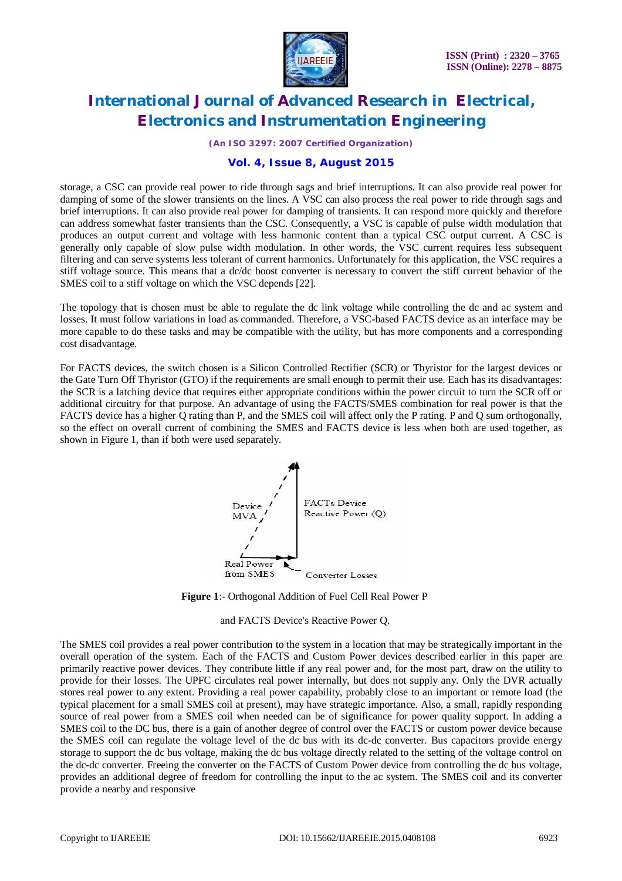

*(An ISO 3297: 2007 Certified Organization)*

### **Vol. 4, Issue 8, August 2015**

storage, a CSC can provide real power to ride through sags and brief interruptions. It can also provide real power for damping of some of the slower transients on the lines. A VSC can also process the real power to ride through sags and brief interruptions. It can also provide real power for damping of transients. It can respond more quickly and therefore can address somewhat faster transients than the CSC. Consequently, a VSC is capable of pulse width modulation that produces an output current and voltage with less harmonic content than a typical CSC output current. A CSC is generally only capable of slow pulse width modulation. In other words, the VSC current requires less subsequent filtering and can serve systems less tolerant of current harmonics. Unfortunately for this application, the VSC requires a stiff voltage source. This means that a dc/dc boost converter is necessary to convert the stiff current behavior of the SMES coil to a stiff voltage on which the VSC depends [22].

The topology that is chosen must be able to regulate the dc link voltage while controlling the dc and ac system and losses. It must follow variations in load as commanded. Therefore, a VSC-based FACTS device as an interface may be more capable to do these tasks and may be compatible with the utility, but has more components and a corresponding cost disadvantage.

For FACTS devices, the switch chosen is a Silicon Controlled Rectifier (SCR) or Thyristor for the largest devices or the Gate Turn Off Thyristor (GTO) if the requirements are small enough to permit their use. Each has its disadvantages: the SCR is a latching device that requires either appropriate conditions within the power circuit to turn the SCR off or additional circuitry for that purpose. An advantage of using the FACTS/SMES combination for real power is that the FACTS device has a higher Q rating than P, and the SMES coil will affect only the P rating. P and Q sum orthogonally, so the effect on overall current of combining the SMES and FACTS device is less when both are used together, as shown in Figure 1, than if both were used separately.



**Figure 1**:- Orthogonal Addition of Fuel Cell Real Power P

and FACTS Device's Reactive Power Q.

The SMES coil provides a real power contribution to the system in a location that may be strategically important in the overall operation of the system. Each of the FACTS and Custom Power devices described earlier in this paper are primarily reactive power devices. They contribute little if any real power and, for the most part, draw on the utility to provide for their losses. The UPFC circulates real power internally, but does not supply any. Only the DVR actually stores real power to any extent. Providing a real power capability, probably close to an important or remote load (the typical placement for a small SMES coil at present), may have strategic importance. Also, a small, rapidly responding source of real power from a SMES coil when needed can be of significance for power quality support. In adding a SMES coil to the DC bus, there is a gain of another degree of control over the FACTS or custom power device because the SMES coil can regulate the voltage level of the dc bus with its dc-dc converter. Bus capacitors provide energy storage to support the dc bus voltage, making the dc bus voltage directly related to the setting of the voltage control on the dc-dc converter. Freeing the converter on the FACTS of Custom Power device from controlling the dc bus voltage, provides an additional degree of freedom for controlling the input to the ac system. The SMES coil and its converter provide a nearby and responsive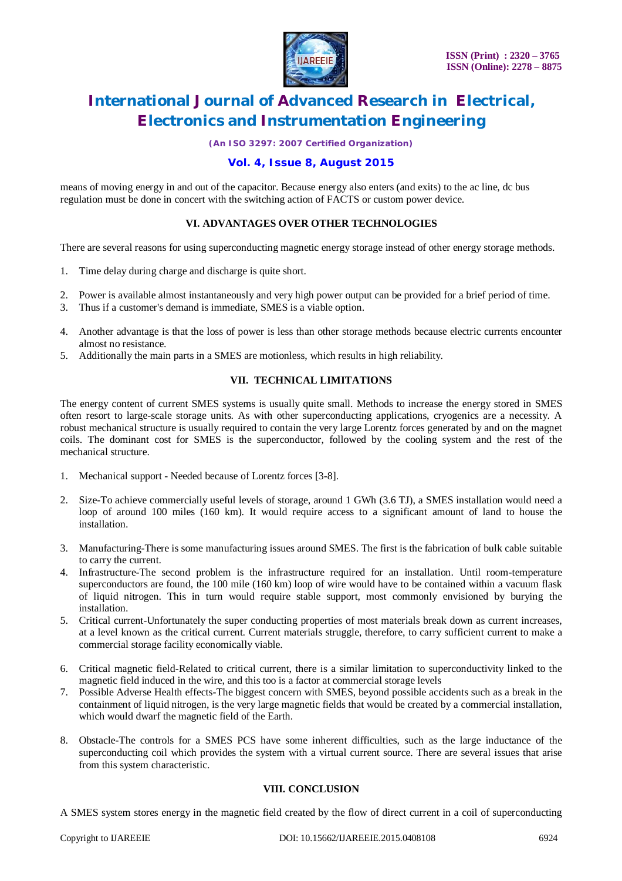

*(An ISO 3297: 2007 Certified Organization)*

### **Vol. 4, Issue 8, August 2015**

means of moving energy in and out of the capacitor. Because energy also enters (and exits) to the ac line, dc bus regulation must be done in concert with the switching action of FACTS or custom power device.

### **VI. ADVANTAGES OVER OTHER TECHNOLOGIES**

There are several reasons for using superconducting magnetic energy storage instead of other energy storage methods.

- 1. Time delay during charge and discharge is quite short.
- 2. Power is available almost instantaneously and very high power output can be provided for a brief period of time.
- 3. Thus if a customer's demand is immediate, SMES is a viable option.
- 4. Another advantage is that the loss of power is less than other storage methods because electric currents encounter almost no resistance.
- 5. Additionally the main parts in a SMES are motionless, which results in high reliability.

#### **VII. TECHNICAL LIMITATIONS**

The energy content of current SMES systems is usually quite small. Methods to increase the energy stored in SMES often resort to large-scale storage units. As with other superconducting applications, cryogenics are a necessity. A robust mechanical structure is usually required to contain the very large Lorentz forces generated by and on the magnet coils. The dominant cost for SMES is the superconductor, followed by the cooling system and the rest of the mechanical structure.

- 1. Mechanical support Needed because of Lorentz forces [3-8].
- 2. Size-To achieve commercially useful levels of storage, around 1 GWh (3.6 TJ), a SMES installation would need a loop of around 100 miles (160 km). It would require access to a significant amount of land to house the installation.
- 3. Manufacturing-There is some manufacturing issues around SMES. The first is the fabrication of bulk cable suitable to carry the current.
- 4. Infrastructure-The second problem is the infrastructure required for an installation. Until room-temperature superconductors are found, the 100 mile (160 km) loop of wire would have to be contained within a vacuum flask of liquid nitrogen. This in turn would require stable support, most commonly envisioned by burying the installation.
- 5. Critical current-Unfortunately the super conducting properties of most materials break down as current increases, at a level known as the critical current. Current materials struggle, therefore, to carry sufficient current to make a commercial storage facility economically viable.
- 6. Critical magnetic field-Related to critical current, there is a similar limitation to superconductivity linked to the magnetic field induced in the wire, and this too is a factor at commercial storage levels
- 7. Possible Adverse Health effects-The biggest concern with SMES, beyond possible accidents such as a break in the containment of liquid nitrogen, is the very large magnetic fields that would be created by a commercial installation, which would dwarf the magnetic field of the Earth.
- 8. Obstacle-The controls for a SMES PCS have some inherent difficulties, such as the large inductance of the superconducting coil which provides the system with a virtual current source. There are several issues that arise from this system characteristic.

#### **VIII. CONCLUSION**

A SMES system stores energy in the magnetic field created by the flow of direct current in a coil of superconducting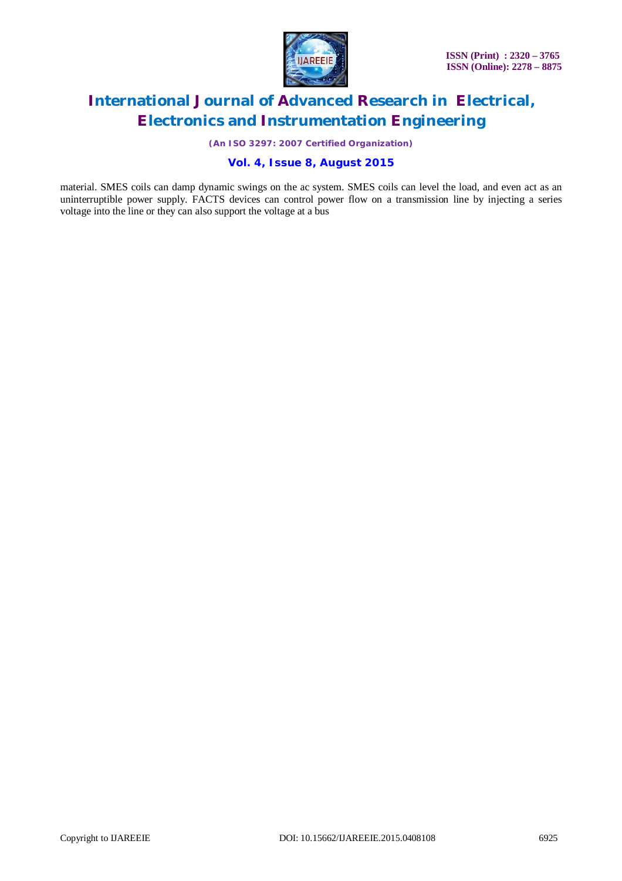

*(An ISO 3297: 2007 Certified Organization)*

### **Vol. 4, Issue 8, August 2015**

material. SMES coils can damp dynamic swings on the ac system. SMES coils can level the load, and even act as an uninterruptible power supply. FACTS devices can control power flow on a transmission line by injecting a series voltage into the line or they can also support the voltage at a bus